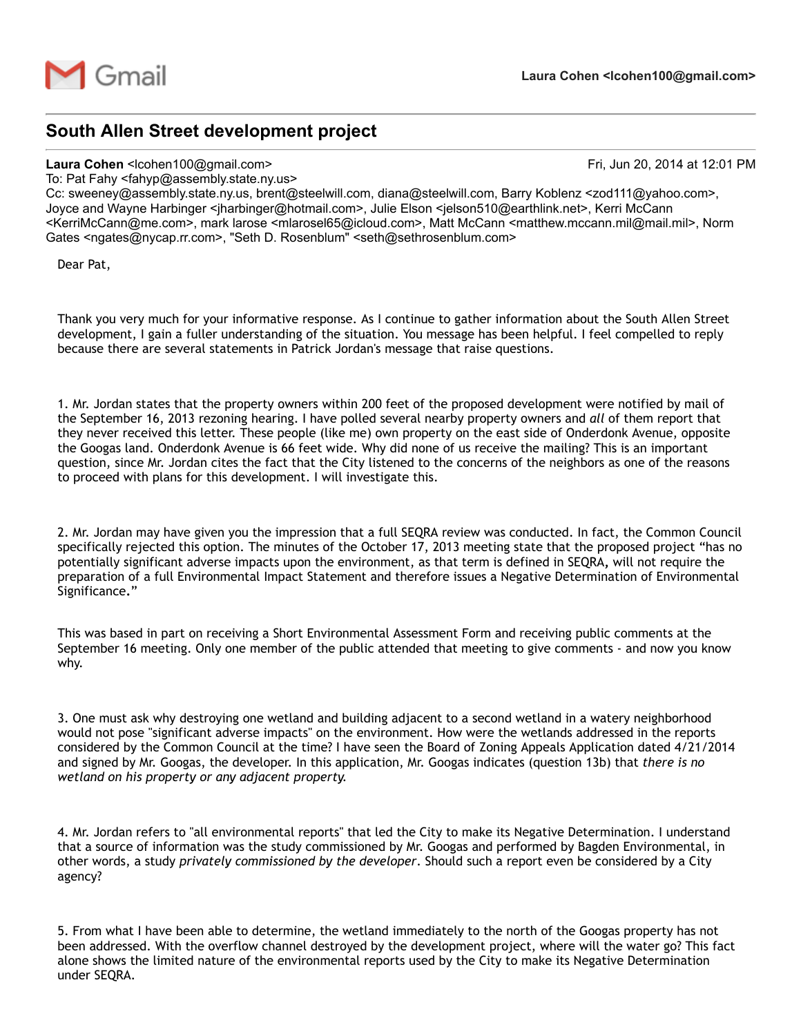

## South Allen Street development project

## Laura Cohen <lcohen100@gmail.com> Fri, Jun 20, 2014 at 12:01 PM

To: Pat Fahy <fahyp@assembly.state.ny.us>

Cc: sweeney@assembly.state.ny.us, brent@steelwill.com, diana@steelwill.com, Barry Koblenz <zod111@yahoo.com>, Joyce and Wayne Harbinger <jharbinger@hotmail.com>, Julie Elson <jelson510@earthlink.net>, Kerri McCann <KerriMcCann@me.com>, mark larose <mlarosel65@icloud.com>, Matt McCann <matthew.mccann.mil@mail.mil>, Norm Gates <ngates@nycap.rr.com>, "Seth D. Rosenblum" <seth@sethrosenblum.com>

Dear Pat,

Thank you very much for your informative response. As I continue to gather information about the South Allen Street development, I gain a fuller understanding of the situation. You message has been helpful. I feel compelled to reply because there are several statements in Patrick Jordan's message that raise questions.

1. Mr. Jordan states that the property owners within 200 feet of the proposed development were notified by mail of the September 16, 2013 rezoning hearing. I have polled several nearby property owners and *all* of them report that they never received this letter. These people (like me) own property on the east side of Onderdonk Avenue, opposite the Googas land. Onderdonk Avenue is 66 feet wide. Why did none of us receive the mailing? This is an important question, since Mr. Jordan cites the fact that the City listened to the concerns of the neighbors as one of the reasons to proceed with plans for this development. I will investigate this.

2. Mr. Jordan may have given you the impression that a full SEQRA review was conducted. In fact, the Common Council specifically rejected this option. The minutes of the October 17, 2013 meeting state that the proposed project "has no potentially significant adverse impacts upon the environment, as that term is defined in SEQRA, will not require the preparation of a full Environmental Impact Statement and therefore issues a Negative Determination of Environmental Significance."

This was based in part on receiving a Short Environmental Assessment Form and receiving public comments at the September 16 meeting. Only one member of the public attended that meeting to give comments - and now you know why.

3. One must ask why destroying one wetland and building adjacent to a second wetland in a watery neighborhood would not pose "significant adverse impacts" on the environment. How were the wetlands addressed in the reports considered by the Common Council at the time? I have seen the Board of Zoning Appeals Application dated 4/21/2014 and signed by Mr. Googas, the developer. In this application, Mr. Googas indicates (question 13b) that *there is no wetland on his property or any adjacent property.*

4. Mr. Jordan refers to "all environmental reports" that led the City to make its Negative Determination. I understand that a source of information was the study commissioned by Mr. Googas and performed by Bagden Environmental, in other words, a study *privately commissioned by the developer*. Should such a report even be considered by a City agency?

5. From what I have been able to determine, the wetland immediately to the north of the Googas property has not been addressed. With the overflow channel destroyed by the development project, where will the water go? This fact alone shows the limited nature of the environmental reports used by the City to make its Negative Determination under SEQRA.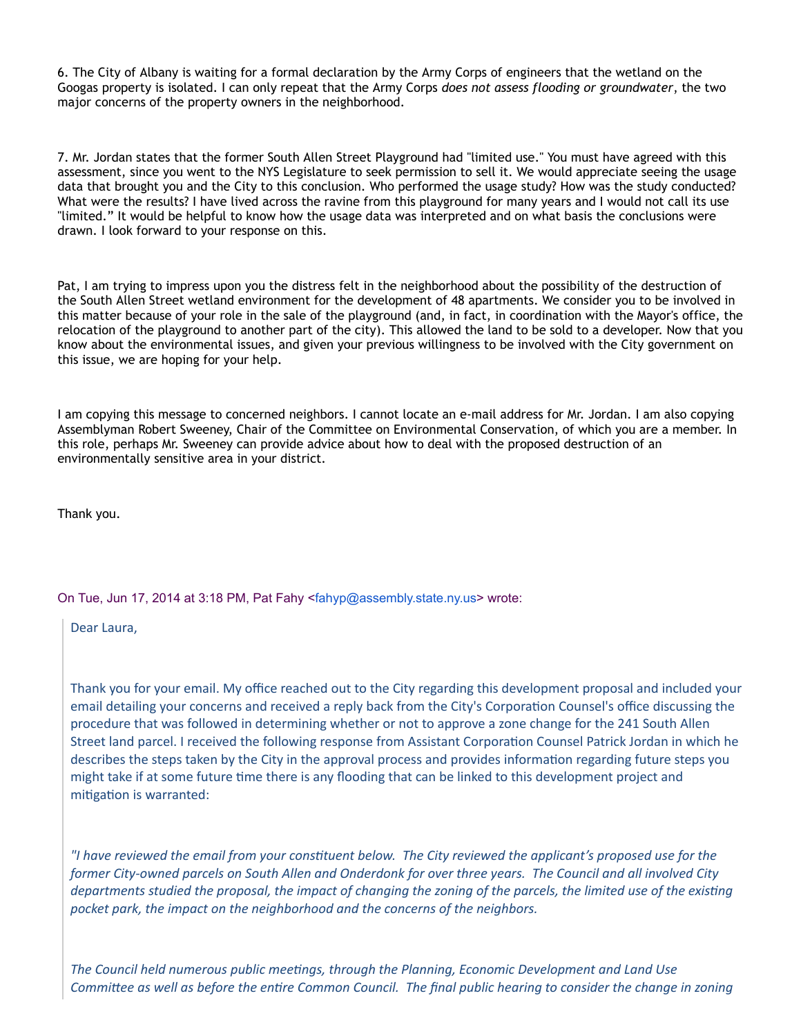6. The City of Albany is waiting for a formal declaration by the Army Corps of engineers that the wetland on the Googas property is isolated. I can only repeat that the Army Corps *does not assess flooding or groundwater*, the two major concerns of the property owners in the neighborhood.

7. Mr. Jordan states that the former South Allen Street Playground had "limited use." You must have agreed with this assessment, since you went to the NYS Legislature to seek permission to sell it. We would appreciate seeing the usage data that brought you and the City to this conclusion. Who performed the usage study? How was the study conducted? What were the results? I have lived across the ravine from this playground for many years and I would not call its use "limited." It would be helpful to know how the usage data was interpreted and on what basis the conclusions were drawn. I look forward to your response on this.

Pat, I am trying to impress upon you the distress felt in the neighborhood about the possibility of the destruction of the South Allen Street wetland environment for the development of 48 apartments. We consider you to be involved in this matter because of your role in the sale of the playground (and, in fact, in coordination with the Mayor's office, the relocation of the playground to another part of the city). This allowed the land to be sold to a developer. Now that you know about the environmental issues, and given your previous willingness to be involved with the City government on this issue, we are hoping for your help.

I am copying this message to concerned neighbors. I cannot locate an e‐mail address for Mr. Jordan. I am also copying Assemblyman Robert Sweeney, Chair of the Committee on Environmental Conservation, of which you are a member. In this role, perhaps Mr. Sweeney can provide advice about how to deal with the proposed destruction of an environmentally sensitive area in your district.

Thank you.

On Tue, Jun 17, 2014 at 3:18 PM, Pat Fahy <[fahyp@assembly.state.ny.us>](mailto:fahyp@assembly.state.ny.us) wrote:

Dear Laura,

Thank you for your email. My office reached out to the City regarding this development proposal and included your email detailing your concerns and received a reply back from the City's Corporation Counsel's office discussing the procedure that was followed in determining whether or not to approve a zone change for the 241 South Allen Street land parcel. I received the following response from Assistant Corporation Counsel Patrick Jordan in which he describes the steps taken by the City in the approval process and provides information regarding future steps you might take if at some future time there is any flooding that can be linked to this development project and mitigation is warranted:

"I have reviewed the email from your constituent below. The City reviewed the applicant's proposed use for the former City-owned parcels on South Allen and Onderdonk for over three years. The Council and all involved City departments studied the proposal, the impact of changing the zoning of the parcels, the limited use of the existing *pocket park, the impact on the neighborhood and the concerns of the neighbors.*

*The Council held numerous public mee⸵〳ngs, through the Planning, Economic Development and Land Use* Committee as well as before the entire Common Council. The final public hearing to consider the change in zoning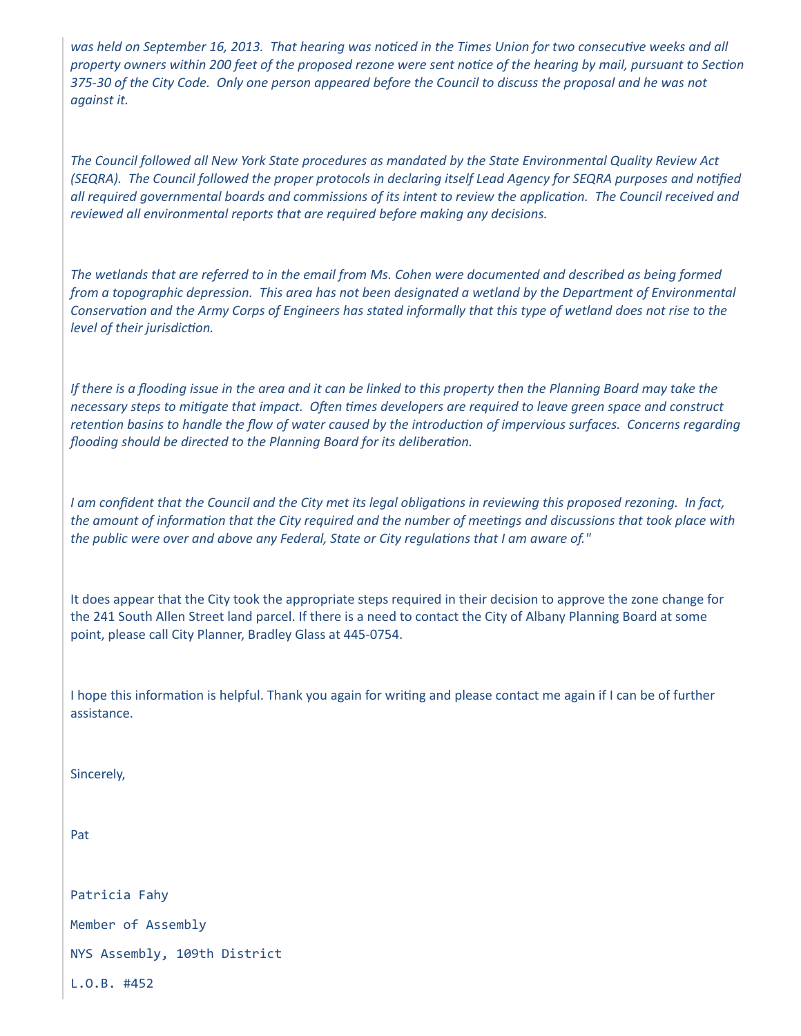was held on September 16, 2013. That hearing was noticed in the Times Union for two consecutive weeks and all property owners within 200 feet of the proposed rezone were sent notice of the hearing by mail, pursuant to Section 375-30 of the City Code. Only one person appeared before the Council to discuss the proposal and he was not *against it.*

The Council followed all New York State procedures as mandated by the State Environmental Quality Review Act (SEQRA). The Council followed the proper protocols in declaring itself Lead Agency for SEQRA purposes and notified all required governmental boards and commissions of its intent to review the application. The Council received and *reviewed all environmental reports that are required before making any decisions.*

The wetlands that are referred to in the email from Ms. Cohen were documented and described as being formed from a topographic depression. This area has not been designated a wetland by the Department of Environmental Conservation and the Army Corps of Engineers has stated informally that this type of wetland does not rise to the *level of their jurisdic⸵〳on.*

If there is a flooding issue in the area and it can be linked to this property then the Planning Board may take the necessary steps to mitigate that impact. Often times developers are required to leave green space and construct retention basins to handle the flow of water caused by the introduction of impervious surfaces. Concerns regarding *flooding should be directed to the Planning Board for its delibera⸵〳on.*

I am confident that the Council and the City met its legal obligations in reviewing this proposed rezoning. In fact, the amount of information that the City required and the number of meetings and discussions that took place with *the public were over and above any Federal, State or City regula⸵〳ons that I am aware of."*

It does appear that the City took the appropriate steps required in their decision to approve the zone change for the 241 South Allen Street land parcel. If there is a need to contact the City of Albany Planning Board at some point, please call City Planner, Bradley Glass at 445‐0754.

I hope this information is helpful. Thank you again for writing and please contact me again if I can be of further assistance.

Sincerely,

Pat

Patricia Fahy

Member of Assembly

NYS Assembly, 109th District

L.O.B. #452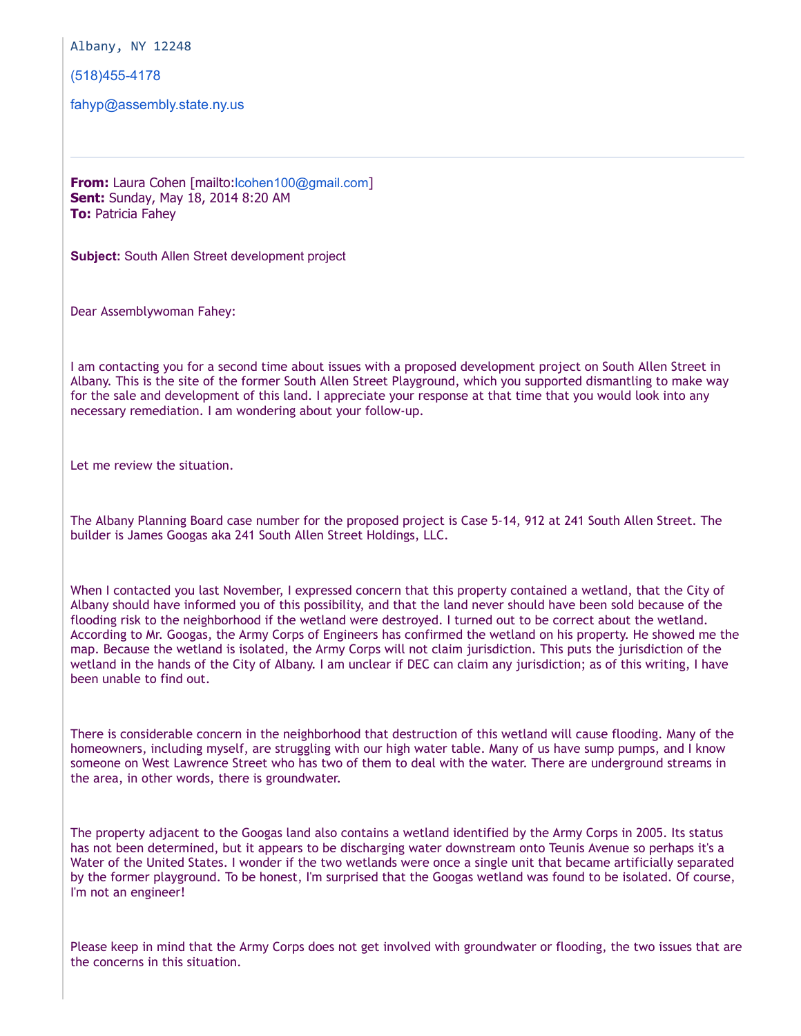Albany, NY 12248

[\(518\)4554178](tel:%28518%29455-4178)

[fahyp@assembly.state.ny.us](mailto:fahyp@assembly.state.ny.us)

From: Laura Cohen [mailto:[lcohen100@gmail.com](mailto:lcohen100@gmail.com)] Sent: Sunday, May 18, 2014 8:20 AM **To: Patricia Fahev** 

Subject: South Allen Street development project

Dear Assemblywoman Fahey:

I am contacting you for a second time about issues with a proposed development project on South Allen Street in Albany. This is the site of the former South Allen Street Playground, which you supported dismantling to make way for the sale and development of this land. I appreciate your response at that time that you would look into any necessary remediation. I am wondering about your follow‐up.

Let me review the situation.

The Albany Planning Board case number for the proposed project is Case 5‐14, 912 at 241 South Allen Street. The builder is James Googas aka 241 South Allen Street Holdings, LLC.

When I contacted you last November, I expressed concern that this property contained a wetland, that the City of Albany should have informed you of this possibility, and that the land never should have been sold because of the flooding risk to the neighborhood if the wetland were destroyed. I turned out to be correct about the wetland. According to Mr. Googas, the Army Corps of Engineers has confirmed the wetland on his property. He showed me the map. Because the wetland is isolated, the Army Corps will not claim jurisdiction. This puts the jurisdiction of the wetland in the hands of the City of Albany. I am unclear if DEC can claim any jurisdiction; as of this writing, I have been unable to find out.

There is considerable concern in the neighborhood that destruction of this wetland will cause flooding. Many of the homeowners, including myself, are struggling with our high water table. Many of us have sump pumps, and I know someone on West Lawrence Street who has two of them to deal with the water. There are underground streams in the area, in other words, there is groundwater.

The property adjacent to the Googas land also contains a wetland identified by the Army Corps in 2005. Its status has not been determined, but it appears to be discharging water downstream onto Teunis Avenue so perhaps it's a Water of the United States. I wonder if the two wetlands were once a single unit that became artificially separated by the former playground. To be honest, I'm surprised that the Googas wetland was found to be isolated. Of course, I'm not an engineer!

Please keep in mind that the Army Corps does not get involved with groundwater or flooding, the two issues that are the concerns in this situation.